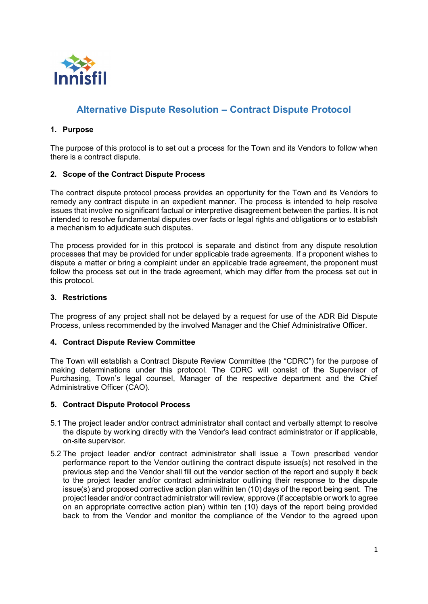

# **Alternative Dispute Resolution – Contract Dispute Protocol**

## **1. Purpose**

The purpose of this protocol is to set out a process for the Town and its Vendors to follow when there is a contract dispute.

## **2. Scope of the Contract Dispute Process**

The contract dispute protocol process provides an opportunity for the Town and its Vendors to remedy any contract dispute in an expedient manner. The process is intended to help resolve issues that involve no significant factual or interpretive disagreement between the parties. It is not intended to resolve fundamental disputes over facts or legal rights and obligations or to establish a mechanism to adjudicate such disputes.

The process provided for in this protocol is separate and distinct from any dispute resolution processes that may be provided for under applicable trade agreements. If a proponent wishes to dispute a matter or bring a complaint under an applicable trade agreement, the proponent must follow the process set out in the trade agreement, which may differ from the process set out in this protocol.

#### **3. Restrictions**

The progress of any project shall not be delayed by a request for use of the ADR Bid Dispute Process, unless recommended by the involved Manager and the Chief Administrative Officer.

### **4. Contract Dispute Review Committee**

The Town will establish a Contract Dispute Review Committee (the "CDRC") for the purpose of making determinations under this protocol. The CDRC will consist of the Supervisor of Purchasing, Town's legal counsel, Manager of the respective department and the Chief Administrative Officer (CAO).

#### **5. Contract Dispute Protocol Process**

- 5.1 The project leader and/or contract administrator shall contact and verbally attempt to resolve the dispute by working directly with the Vendor's lead contract administrator or if applicable, on-site supervisor.
- 5.2 The project leader and/or contract administrator shall issue a Town prescribed vendor performance report to the Vendor outlining the contract dispute issue(s) not resolved in the previous step and the Vendor shall fill out the vendor section of the report and supply it back to the project leader and/or contract administrator outlining their response to the dispute issue(s) and proposed corrective action plan within ten (10) days of the report being sent. The project leader and/or contract administrator will review, approve (if acceptable or work to agree on an appropriate corrective action plan) within ten (10) days of the report being provided back to from the Vendor and monitor the compliance of the Vendor to the agreed upon